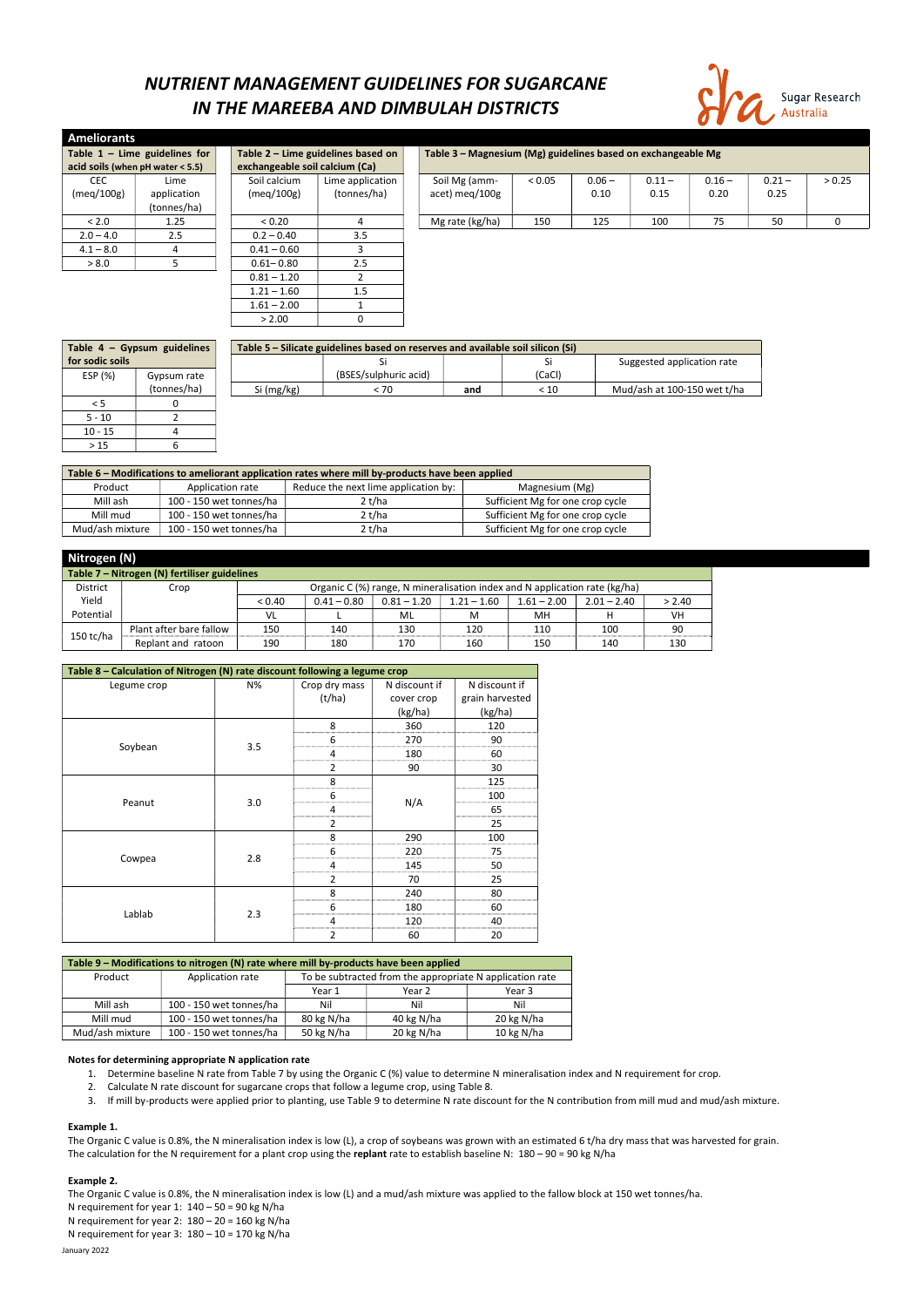## NUTRIENT MANAGEMENT GUIDELINES FOR SUGARCANE IN THE MAREEBA AND DIMBULAH DISTRICTS



| <b>Ameliorants</b>               |             |                                |                                    |  |                                                              |        |          |          |          |          |        |  |
|----------------------------------|-------------|--------------------------------|------------------------------------|--|--------------------------------------------------------------|--------|----------|----------|----------|----------|--------|--|
| Table $1 -$ Lime guidelines for  |             |                                | Table 2 - Lime guidelines based on |  | Table 3 - Magnesium (Mg) guidelines based on exchangeable Mg |        |          |          |          |          |        |  |
| acid soils (when pH water < 5.5) |             | exchangeable soil calcium (Ca) |                                    |  |                                                              |        |          |          |          |          |        |  |
| CEC.                             | Lime        | Soil calcium                   | Lime application                   |  | Soil Mg (amm-                                                | < 0.05 | $0.06 -$ | $0.11 -$ | $0.16 -$ | $0.21 -$ | > 0.25 |  |
| (meg/100g)                       | application | (meq/100g)                     | (tonnes/ha)                        |  | acet) meg/100g                                               |        | 0.10     | 0.15     | 0.20     | 0.25     |        |  |
|                                  | (tonnes/ha) |                                |                                    |  |                                                              |        |          |          |          |          |        |  |
| < 2.0                            | 1.25        | < 0.20                         |                                    |  | Mg rate (kg/ha)                                              | 150    | 125      | 100      | 75       | 50       | 0      |  |
| $2.0 - 4.0$                      | 2.5         | $0.2 - 0.40$                   | 3.5                                |  |                                                              |        |          |          |          |          |        |  |
| $4.1 - 8.0$                      |             | $0.41 - 0.60$                  |                                    |  |                                                              |        |          |          |          |          |        |  |
| > 8.0                            |             | $0.61 - 0.80$                  | 2.5                                |  |                                                              |        |          |          |          |          |        |  |
|                                  |             | $0.81 - 1.20$                  |                                    |  |                                                              |        |          |          |          |          |        |  |
|                                  |             | $1.21 - 1.60$                  | 1.5                                |  |                                                              |        |          |          |          |          |        |  |
|                                  |             | $1.61 - 2.00$                  |                                    |  |                                                              |        |          |          |          |          |        |  |

| Table 4 - Gypsum guidelines |             | Table 5 – Silicate guidelines based on reserves and available soil silicon (Si) |                       |     |        |                             |  |  |  |
|-----------------------------|-------------|---------------------------------------------------------------------------------|-----------------------|-----|--------|-----------------------------|--|--|--|
| for sodic soils             |             |                                                                                 |                       |     |        | Suggested application rate  |  |  |  |
| ESP (%)                     | Gypsum rate |                                                                                 | (BSES/sulphuric acid) |     | (CaCl) |                             |  |  |  |
|                             | (tonnes/ha) | Si (mg/kg)                                                                      | < 70                  | and | < 10   | Mud/ash at 100-150 wet t/ha |  |  |  |
|                             |             |                                                                                 |                       |     |        |                             |  |  |  |
| $5 - 10$                    |             |                                                                                 |                       |     |        |                             |  |  |  |
| $10 - 15$                   |             |                                                                                 |                       |     |        |                             |  |  |  |
| >15                         |             |                                                                                 |                       |     |        |                             |  |  |  |

| Table 6 - Modifications to ameliorant application rates where mill by-products have been applied |                         |                                      |                                  |  |  |  |  |
|--------------------------------------------------------------------------------------------------|-------------------------|--------------------------------------|----------------------------------|--|--|--|--|
| Product                                                                                          | Application rate        | Reduce the next lime application by: | Magnesium (Mg)                   |  |  |  |  |
| Mill ash                                                                                         | 100 - 150 wet tonnes/ha | 2t/ha                                | Sufficient Mg for one crop cycle |  |  |  |  |
| Mill mud                                                                                         | 100 - 150 wet tonnes/ha | 2 t/ha                               | Sufficient Mg for one crop cycle |  |  |  |  |
| Mud/ash mixture                                                                                  | 100 - 150 wet tonnes/ha | 2 t/ha                               | Sufficient Mg for one crop cycle |  |  |  |  |

 $> 2.00$  0

The Organic C value is 0.8%, the N mineralisation index is low (L), a crop of soybeans was grown with an estimated 6 t/ha dry mass that was harvested for grain. The calculation for the N requirement for a plant crop using the replant rate to establish baseline N:  $180 - 90 = 90$  kg N/ha

| Nitrogen (N)                                 |                         |        |                                                                            |               |               |               |               |           |  |
|----------------------------------------------|-------------------------|--------|----------------------------------------------------------------------------|---------------|---------------|---------------|---------------|-----------|--|
| Table 7 - Nitrogen (N) fertiliser guidelines |                         |        |                                                                            |               |               |               |               |           |  |
| <b>District</b>                              | Crop                    |        | Organic C (%) range, N mineralisation index and N application rate (kg/ha) |               |               |               |               |           |  |
| Yield                                        |                         | < 0.40 | $0.41 - 0.80$                                                              | $0.81 - 1.20$ | $1.21 - 1.60$ | $1.61 - 2.00$ | $2.01 - 2.40$ | > 2.40    |  |
| Potential                                    |                         | VL     |                                                                            | ML            | M             | мн            |               | <b>VH</b> |  |
|                                              | Plant after bare fallow | 150    | 140                                                                        | 130           | 120           | 110           | 100           | 90        |  |
| $150$ tc/ha                                  | Replant and ratoon      | 190    | 180                                                                        | 170           | 160           | 150           | 140           | 130       |  |

| Table 8 - Calculation of Nitrogen (N) rate discount following a legume crop |     |                |               |                 |  |  |  |  |  |
|-----------------------------------------------------------------------------|-----|----------------|---------------|-----------------|--|--|--|--|--|
| Legume crop                                                                 | N%  | Crop dry mass  | N discount if | N discount if   |  |  |  |  |  |
|                                                                             |     | (t/ha)         | cover crop    | grain harvested |  |  |  |  |  |
|                                                                             |     |                | (kg/ha)       | (kg/ha)         |  |  |  |  |  |
|                                                                             |     | 8              | 360           | 120             |  |  |  |  |  |
| Soybean                                                                     | 3.5 | 6              | 270           | 90              |  |  |  |  |  |
|                                                                             |     | 4              | 180           | 60              |  |  |  |  |  |
|                                                                             |     | 2              | 90            | 30              |  |  |  |  |  |
|                                                                             |     | 8              |               | 125             |  |  |  |  |  |
|                                                                             |     | 6              |               | 100             |  |  |  |  |  |
| Peanut                                                                      | 3.0 | 4              | N/A           | 65              |  |  |  |  |  |
|                                                                             |     | $\overline{2}$ |               | 25              |  |  |  |  |  |
|                                                                             |     | 8              | 290           | 100             |  |  |  |  |  |
|                                                                             |     | 6              | 220           | 75              |  |  |  |  |  |
| Cowpea                                                                      | 2.8 | 4              | 145           | 50              |  |  |  |  |  |
|                                                                             |     | $\overline{2}$ | 70            | 25              |  |  |  |  |  |
|                                                                             |     | 8              | 240           | 80              |  |  |  |  |  |
|                                                                             |     | 6              | 180           | 60              |  |  |  |  |  |
| Lablab                                                                      | 2.3 | 4              | 120           | 40              |  |  |  |  |  |
|                                                                             |     | $\overline{2}$ | 60            | 20              |  |  |  |  |  |

| Table 9 – Modifications to nitrogen (N) rate where mill by-products have been applied |                  |  |                                                          |  |  |  |  |  |  |
|---------------------------------------------------------------------------------------|------------------|--|----------------------------------------------------------|--|--|--|--|--|--|
| Product                                                                               | Application rate |  | To be subtracted from the appropriate N application rate |  |  |  |  |  |  |
|                                                                                       |                  |  |                                                          |  |  |  |  |  |  |

|                 |                         | Year 1     | Year 2     | Year 3     |
|-----------------|-------------------------|------------|------------|------------|
| Mill ash        | 100 - 150 wet tonnes/ha | Nil        | Nil        | Nil        |
| Mill mud        | 100 - 150 wet tonnes/ha | 80 kg N/ha | 40 kg N/ha | 20 kg N/ha |
| Mud/ash mixture | 100 - 150 wet tonnes/ha | 50 kg N/ha | 20 kg N/ha | 10 kg N/ha |

### Notes for determining appropriate N application rate

- 1. Determine baseline N rate from Table 7 by using the Organic C (%) value to determine N mineralisation index and N requirement for crop.
- 2. Calculate N rate discount for sugarcane crops that follow a legume crop, using Table 8.
- 3. If mill by-products were applied prior to planting, use Table 9 to determine N rate discount for the N contribution from mill mud and mud/ash mixture.

#### Example 1.

#### Example 2.

January 2022 The Organic C value is 0.8%, the N mineralisation index is low (L) and a mud/ash mixture was applied to the fallow block at 150 wet tonnes/ha. N requirement for year 1:  $140 - 50 = 90$  kg N/ha N requirement for year 2:  $180 - 20 = 160$  kg N/ha N requirement for year 3:  $180 - 10 = 170$  kg N/ha